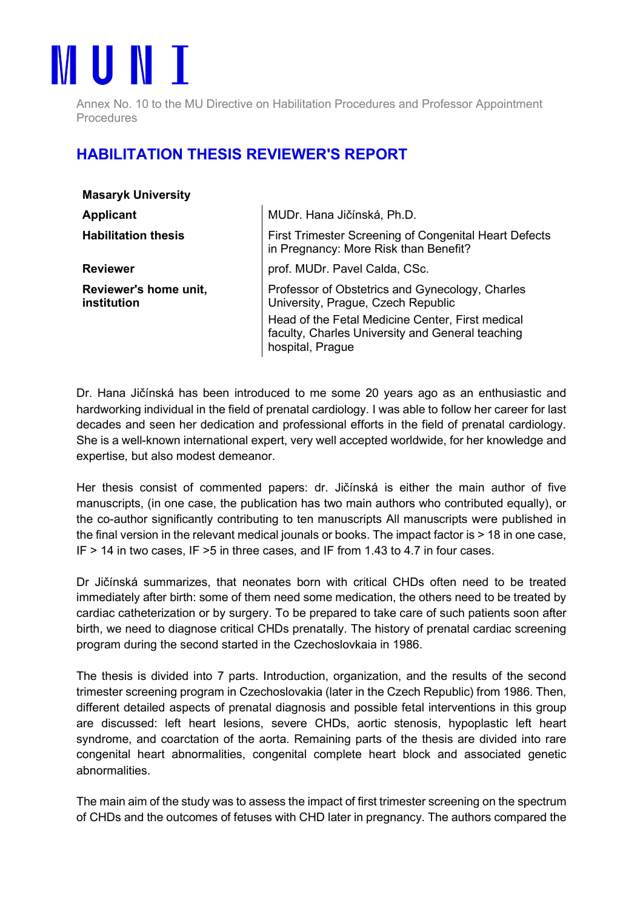

Annex No. 10 to the MU Directive on Habilitation Procedures and Professor Appointment **Procedures** 

## HABILITATION THESIS REVIEWER'S REPORT

| <b>Masaryk University</b>                                                                                                |  |
|--------------------------------------------------------------------------------------------------------------------------|--|
| MUDr. Hana Jičínská, Ph.D.                                                                                               |  |
| First Trimester Screening of Congenital Heart Defects<br>in Pregnancy: More Risk than Benefit?                           |  |
| prof. MUDr. Pavel Calda, CSc.                                                                                            |  |
| Professor of Obstetrics and Gynecology, Charles<br>University, Prague, Czech Republic                                    |  |
| Head of the Fetal Medicine Center, First medical<br>faculty, Charles University and General teaching<br>hospital, Prague |  |
|                                                                                                                          |  |

Dr. Hana Jičínská has been introduced to me some 20 years ago as an enthusiastic and hardworking individual in the field of prenatal cardiology. I was able to follow her career for last decades and seen her dedication and professional efforts in the field of prenatal cardiology. She is a well-known international expert, very well accepted worldwide, for her knowledge and expertise, but also modest demeanor.

Her thesis consist of commented papers: dr. Jičínská is either the main author of five manuscripts, (in one case, the publication has two main authors who contributed equally), or the co-author significantly contributing to ten manuscripts All manuscripts were published in the final version in the relevant medical jounals or books. The impact factor is > 18 in one case, IF > 14 in two cases, IF >5 in three cases, and IF from 1.43 to 4.7 in four cases.

Dr Jičínská summarizes, that neonates born with critical CHDs often need to be treated immediately after birth: some of them need some medication, the others need to be treated by cardiac catheterization or by surgery. To be prepared to take care of such patients soon after birth, we need to diagnose critical CHDs prenatally. The history of prenatal cardiac screening program during the second started in the Czechoslovkaia in 1986.

The thesis is divided into 7 parts. Introduction, organization, and the results of the second trimester screening program in Czechoslovakia (later in the Czech Republic) from 1986. Then, different detailed aspects of prenatal diagnosis and possible fetal interventions in this group are discussed: left heart lesions, severe CHDs, aortic stenosis, hypoplastic left heart syndrome, and coarctation of the aorta. Remaining parts of the thesis are divided into rare congenital heart abnormalities, congenital complete heart block and associated genetic abnormalities.

The main aim of the study was to assess the impact of first trimester screening on the spectrum of CHDs and the outcomes of fetuses with CHD later in pregnancy. The authors compared the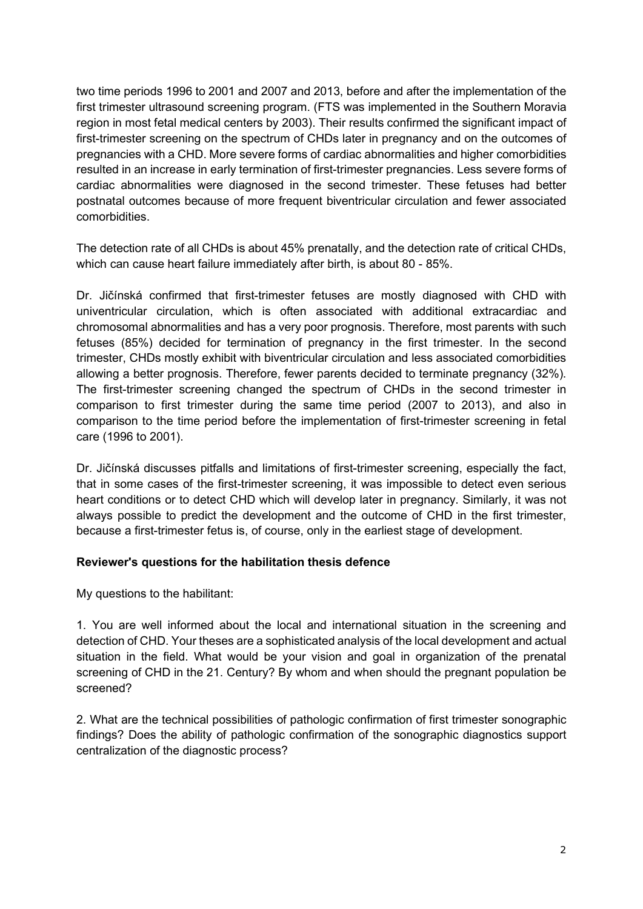two time periods 1996 to 2001 and 2007 and 2013, before and after the implementation of the first trimester ultrasound screening program. (FTS was implemented in the Southern Moravia region in most fetal medical centers by 2003). Their results confirmed the significant impact of first-trimester screening on the spectrum of CHDs later in pregnancy and on the outcomes of pregnancies with a CHD. More severe forms of cardiac abnormalities and higher comorbidities resulted in an increase in early termination of first-trimester pregnancies. Less severe forms of cardiac abnormalities were diagnosed in the second trimester. These fetuses had better postnatal outcomes because of more frequent biventricular circulation and fewer associated comorbidities.

The detection rate of all CHDs is about 45% prenatally, and the detection rate of critical CHDs, which can cause heart failure immediately after birth, is about 80 - 85%.

Dr. Jičínská confirmed that first-trimester fetuses are mostly diagnosed with CHD with univentricular circulation, which is often associated with additional extracardiac and chromosomal abnormalities and has a very poor prognosis. Therefore, most parents with such fetuses (85%) decided for termination of pregnancy in the first trimester. In the second trimester, CHDs mostly exhibit with biventricular circulation and less associated comorbidities allowing a better prognosis. Therefore, fewer parents decided to terminate pregnancy (32%). The first-trimester screening changed the spectrum of CHDs in the second trimester in comparison to first trimester during the same time period (2007 to 2013), and also in comparison to the time period before the implementation of first-trimester screening in fetal care (1996 to 2001).

Dr. Jičínská discusses pitfalls and limitations of first-trimester screening, especially the fact, that in some cases of the first-trimester screening, it was impossible to detect even serious heart conditions or to detect CHD which will develop later in pregnancy. Similarly, it was not always possible to predict the development and the outcome of CHD in the first trimester, because a first-trimester fetus is, of course, only in the earliest stage of development.

## Reviewer's questions for the habilitation thesis defence

My questions to the habilitant:

1. You are well informed about the local and international situation in the screening and detection of CHD. Your theses are a sophisticated analysis of the local development and actual situation in the field. What would be your vision and goal in organization of the prenatal screening of CHD in the 21. Century? By whom and when should the pregnant population be screened?

2. What are the technical possibilities of pathologic confirmation of first trimester sonographic findings? Does the ability of pathologic confirmation of the sonographic diagnostics support centralization of the diagnostic process?